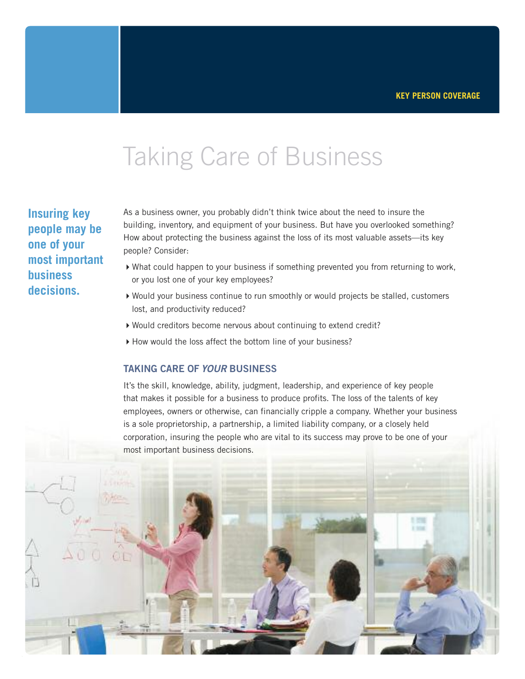### Taking Care of Business

**Insuring key people may be one of your most important business decisions.**

As a business owner, you probably didn't think twice about the need to insure the building, inventory, and equipment of your business. But have you overlooked something? How about protecting the business against the loss of its most valuable assets—its key people? Consider:

- 4What could happen to your business if something prevented you from returning to work, or you lost one of your key employees?
- 4Would your business continue to run smoothly or would projects be stalled, customers lost, and productivity reduced?
- 4Would creditors become nervous about continuing to extend credit?
- ▶ How would the loss affect the bottom line of your business?

#### **TAKING CARE OF** *YOUR* **BUSINESS**

It's the skill, knowledge, ability, judgment, leadership, and experience of key people that makes it possible for a business to produce profits. The loss of the talents of key employees, owners or otherwise, can financially cripple a company. Whether your business is a sole proprietorship, a partnership, a limited liability company, or a closely held corporation, insuring the people who are vital to its success may prove to be one of your most important business decisions.

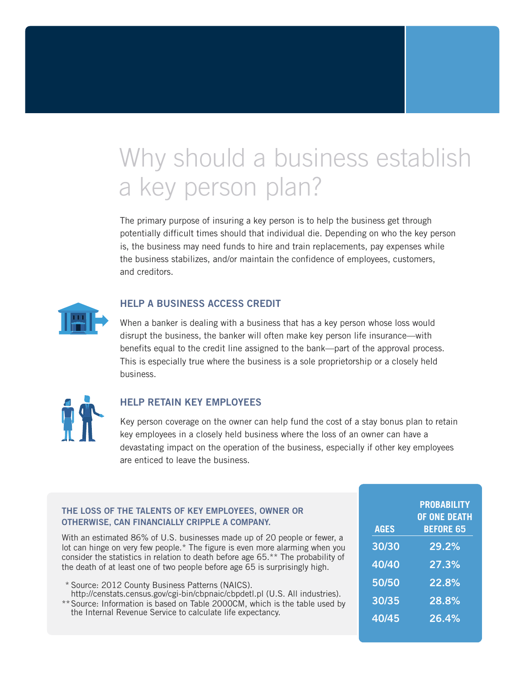# Why should a business establish a key person plan?

The primary purpose of insuring a key person is to help the business get through potentially difficult times should that individual die. Depending on who the key person is, the business may need funds to hire and train replacements, pay expenses while the business stabilizes, and/or maintain the confidence of employees, customers, and creditors.



### **HELP A BUSINESS ACCESS CREDIT**

When a banker is dealing with a business that has a key person whose loss would disrupt the business, the banker will often make key person life insurance—with benefits equal to the credit line assigned to the bank—part of the approval process. This is especially true where the business is a sole proprietorship or a closely held business.



### **HELP RETAIN KEY EMPLOYEES**

Key person coverage on the owner can help fund the cost of a stay bonus plan to retain key employees in a closely held business where the loss of an owner can have a devastating impact on the operation of the business, especially if other key employees are enticed to leave the business.

#### **THE LOSS OF THE TALENTS OF KEY EMPLOYEES, OWNER OR OTHERWISE, CAN FINANCIALLY CRIPPLE A COMPANY.**

With an estimated 86% of U.S. businesses made up of 20 people or fewer, a lot can hinge on very few people.\* The figure is even more alarming when you consider the statistics in relation to death before age 65.\*\* The probability of the death of at least one of two people before age 65 is surprisingly high.

- \* Source: 2012 County Business Patterns (NAICS). http://censtats.census.gov/cgi-bin/cbpnaic/cbpdetl.pl (U.S. All industries).
- \*\*Source: Information is based on Table 2000CM, which is the table used by the Internal Revenue Service to calculate life expectancy.

| <b>AGES</b> | <b>PROBABILITY</b><br>OF ONE DEATH<br><b>BEFORE 65</b> |
|-------------|--------------------------------------------------------|
| 30/30       | 29.2%                                                  |
| 40/40       | 27.3%                                                  |
| 50/50       | 22.8%                                                  |
| 30/35       | 28.8%                                                  |
| 40/45       | 26.4%                                                  |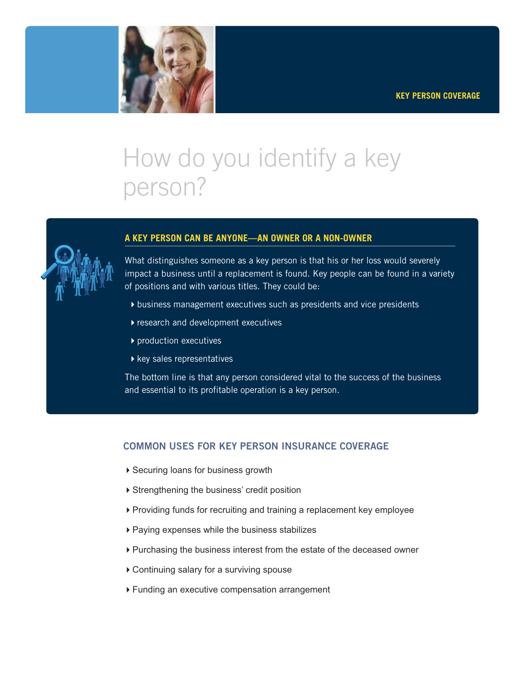

# How do you identify a key person?



### **A KEY PERSON CAN BE ANYONE—AN OWNER OR A NON-OWNER**

What distinguishes someone as a key person is that his or her loss would severely impact a business until a replacement is found. Key people can be found in a variety of positions and with various titles. They could be:

- $\rightarrow$  business management executives such as presidents and vice presidents
- $\blacktriangleright$  research and development executives
- $\blacktriangleright$  production executives
- $\blacktriangleright$  key sales representatives

The bottom line is that any person considered vital to the success of the business and essential to its profitable operation is a key person.

### **COMMON USES FOR KEY PERSON INSURANCE COVERAGE**

- ▶ Securing loans for business growth
- ▶ Strengthening the business' credit position
- 4Providing funds for recruiting and training a replacement key employee
- 4Paying expenses while the business stabilizes
- ▶ Purchasing the business interest from the estate of the deceased owner
- 4Continuing salary for a surviving spouse
- 4Funding an executive compensation arrangement